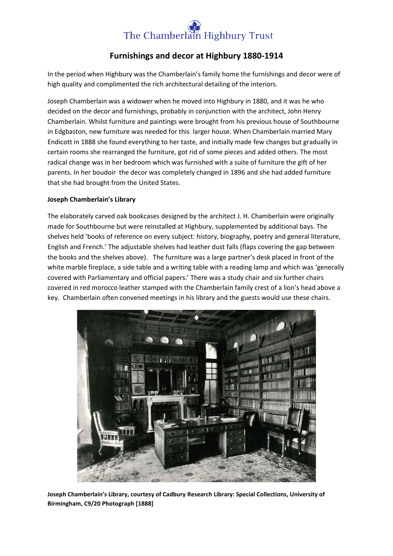# The Chamberlain Highbury Trust

# **Furnishings and decor at Highbury 1880-1914**

In the period when Highbury was the Chamberlain's family home the furnishings and decor were of high quality and complimented the rich architectural detailing of the interiors.

Joseph Chamberlain was a widower when he moved into Highbury in 1880, and it was he who decided on the decor and furnishings, probably in conjunction with the architect, John Henry Chamberlain. Whilst furniture and paintings were brought from his previous house of Southbourne in Edgbaston, new furniture was needed for this larger house. When Chamberlain married Mary Endicott in 1888 she found everything to her taste, and initially made few changes but gradually in certain rooms she rearranged the furniture, got rid of some pieces and added others. The most radical change was in her bedroom which was furnished with a suite of furniture the gift of her parents. In her boudoir the decor was completely changed in 1896 and she had added furniture that she had brought from the United States.

## **Joseph Chamberlain's Library**

The elaborately carved oak bookcases designed by the architect J. H. Chamberlain were originally made for Southbourne but were reinstalled at Highbury, supplemented by additional bays. The shelves held 'books of reference on every subject: history, biography, poetry and general literature, English and French.' The adjustable shelves had leather dust falls (flaps covering the gap between the books and the shelves above). The furniture was a large partner's desk placed in front of the white marble fireplace, a side table and a writing table with a reading lamp and which was 'generally covered with Parliamentary and official papers.' There was a study chair and six further chairs covered in red morocco leather stamped with the Chamberlain family crest of a lion's head above a key. Chamberlain often convened meetings in his library and the guests would use these chairs.



**Joseph Chamberlain's Library, courtesy of Cadbury Research Library: Special Collections, University of Birmingham, C9/20 Photograph [1888]**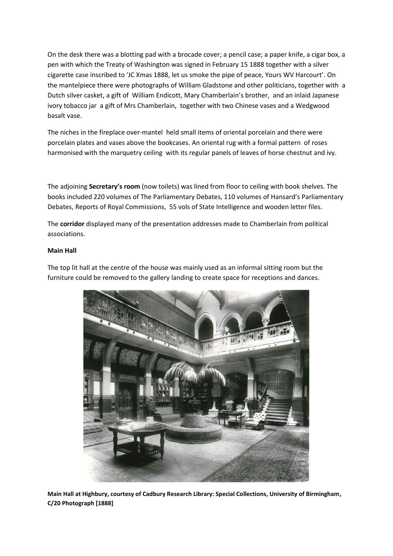On the desk there was a blotting pad with a brocade cover; a pencil case; a paper knife, a cigar box, a pen with which the Treaty of Washington was signed in February 15 1888 together with a silver cigarette case inscribed to 'JC Xmas 1888, let us smoke the pipe of peace, Yours WV Harcourt'. On the mantelpiece there were photographs of William Gladstone and other politicians, together with a Dutch silver casket, a gift of William Endicott, Mary Chamberlain's brother, and an inlaid Japanese ivory tobacco jar a gift of Mrs Chamberlain, together with two Chinese vases and a Wedgwood basalt vase.

The niches in the fireplace over-mantel held small items of oriental porcelain and there were porcelain plates and vases above the bookcases. An oriental rug with a formal pattern of roses harmonised with the marquetry ceiling with its regular panels of leaves of horse chestnut and ivy.

The adjoining **Secretary's room** (now toilets) was lined from floor to ceiling with book shelves. The books included 220 volumes of The Parliamentary Debates, 110 volumes of Hansard's Parliamentary Debates, Reports of Royal Commissions, 55 vols of State Intelligence and wooden letter files.

The **corridor** displayed many of the presentation addresses made to Chamberlain from political associations.

#### **Main Hall**

The top lit hall at the centre of the house was mainly used as an informal sitting room but the furniture could be removed to the gallery landing to create space for receptions and dances.



**Main Hall at Highbury, courtesy of Cadbury Research Library: Special Collections, University of Birmingham, C/20 Photograph [1888]**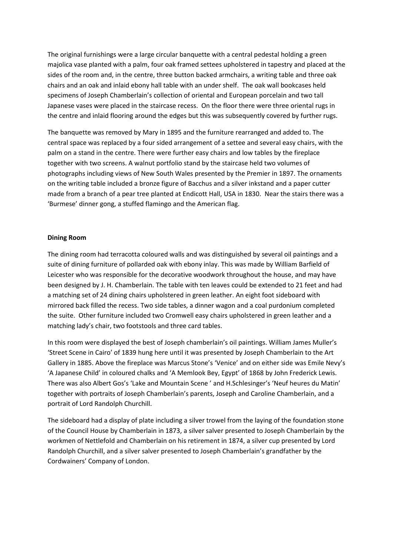The original furnishings were a large circular banquette with a central pedestal holding a green majolica vase planted with a palm, four oak framed settees upholstered in tapestry and placed at the sides of the room and, in the centre, three button backed armchairs, a writing table and three oak chairs and an oak and inlaid ebony hall table with an under shelf. The oak wall bookcases held specimens of Joseph Chamberlain's collection of oriental and European porcelain and two tall Japanese vases were placed in the staircase recess. On the floor there were three oriental rugs in the centre and inlaid flooring around the edges but this was subsequently covered by further rugs.

The banquette was removed by Mary in 1895 and the furniture rearranged and added to. The central space was replaced by a four sided arrangement of a settee and several easy chairs, with the palm on a stand in the centre. There were further easy chairs and low tables by the fireplace together with two screens. A walnut portfolio stand by the staircase held two volumes of photographs including views of New South Wales presented by the Premier in 1897. The ornaments on the writing table included a bronze figure of Bacchus and a silver inkstand and a paper cutter made from a branch of a pear tree planted at Endicott Hall, USA in 1830. Near the stairs there was a 'Burmese' dinner gong, a stuffed flamingo and the American flag.

#### **Dining Room**

The dining room had terracotta coloured walls and was distinguished by several oil paintings and a suite of dining furniture of pollarded oak with ebony inlay. This was made by William Barfield of Leicester who was responsible for the decorative woodwork throughout the house, and may have been designed by J. H. Chamberlain. The table with ten leaves could be extended to 21 feet and had a matching set of 24 dining chairs upholstered in green leather. An eight foot sideboard with mirrored back filled the recess. Two side tables, a dinner wagon and a coal purdonium completed the suite. Other furniture included two Cromwell easy chairs upholstered in green leather and a matching lady's chair, two footstools and three card tables.

In this room were displayed the best of Joseph chamberlain's oil paintings. William James Muller's 'Street Scene in Cairo' of 1839 hung here until it was presented by Joseph Chamberlain to the Art Gallery in 1885. Above the fireplace was Marcus Stone's 'Venice' and on either side was Emile Nevy's 'A Japanese Child' in coloured chalks and 'A Memlook Bey, Egypt' of 1868 by John Frederick Lewis. There was also Albert Gos's 'Lake and Mountain Scene ' and H.Schlesinger's 'Neuf heures du Matin' together with portraits of Joseph Chamberlain's parents, Joseph and Caroline Chamberlain, and a portrait of Lord Randolph Churchill.

The sideboard had a display of plate including a silver trowel from the laying of the foundation stone of the Council House by Chamberlain in 1873, a silver salver presented to Joseph Chamberlain by the workmen of Nettlefold and Chamberlain on his retirement in 1874, a silver cup presented by Lord Randolph Churchill, and a silver salver presented to Joseph Chamberlain's grandfather by the Cordwainers' Company of London.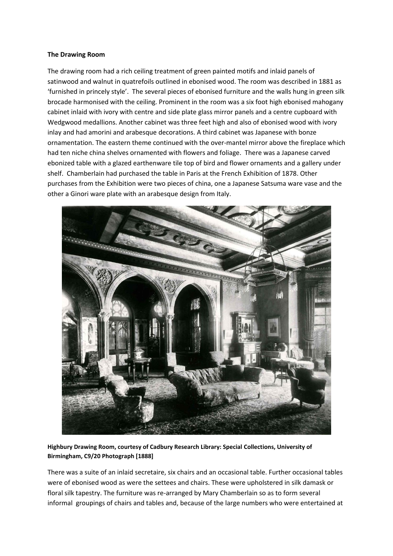#### **The Drawing Room**

The drawing room had a rich ceiling treatment of green painted motifs and inlaid panels of satinwood and walnut in quatrefoils outlined in ebonised wood. The room was described in 1881 as 'furnished in princely style'. The several pieces of ebonised furniture and the walls hung in green silk brocade harmonised with the ceiling. Prominent in the room was a six foot high ebonised mahogany cabinet inlaid with ivory with centre and side plate glass mirror panels and a centre cupboard with Wedgwood medallions. Another cabinet was three feet high and also of ebonised wood with ivory inlay and had amorini and arabesque decorations. A third cabinet was Japanese with bonze ornamentation. The eastern theme continued with the over-mantel mirror above the fireplace which had ten niche china shelves ornamented with flowers and foliage. There was a Japanese carved ebonized table with a glazed earthenware tile top of bird and flower ornaments and a gallery under shelf. Chamberlain had purchased the table in Paris at the French Exhibition of 1878. Other purchases from the Exhibition were two pieces of china, one a Japanese Satsuma ware vase and the other a Ginori ware plate with an arabesque design from Italy.



**Highbury Drawing Room, courtesy of Cadbury Research Library: Special Collections, University of Birmingham, C9/20 Photograph [1888]**

There was a suite of an inlaid secretaire, six chairs and an occasional table. Further occasional tables were of ebonised wood as were the settees and chairs. These were upholstered in silk damask or floral silk tapestry. The furniture was re-arranged by Mary Chamberlain so as to form several informal groupings of chairs and tables and, because of the large numbers who were entertained at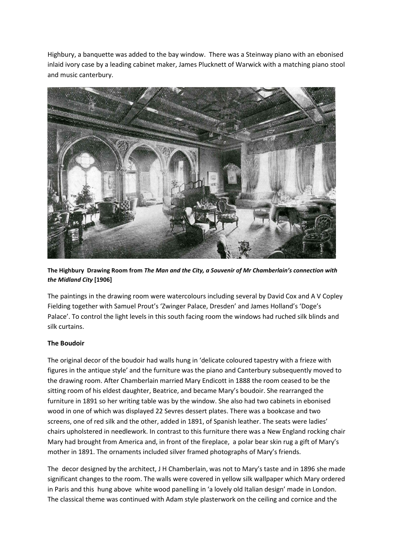Highbury, a banquette was added to the bay window. There was a Steinway piano with an ebonised inlaid ivory case by a leading cabinet maker, James Plucknett of Warwick with a matching piano stool and music canterbury.



**The Highbury Drawing Room from** *The Man and the City, a Souvenir of Mr Chamberlain's connection with the Midland City* **[1906]**

The paintings in the drawing room were watercolours including several by David Cox and A V Copley Fielding together with Samuel Prout's 'Zwinger Palace, Dresden' and James Holland's 'Doge's Palace'. To control the light levels in this south facing room the windows had ruched silk blinds and silk curtains.

## **The Boudoir**

The original decor of the boudoir had walls hung in 'delicate coloured tapestry with a frieze with figures in the antique style' and the furniture was the piano and Canterbury subsequently moved to the drawing room. After Chamberlain married Mary Endicott in 1888 the room ceased to be the sitting room of his eldest daughter, Beatrice, and became Mary's boudoir. She rearranged the furniture in 1891 so her writing table was by the window. She also had two cabinets in ebonised wood in one of which was displayed 22 Sevres dessert plates. There was a bookcase and two screens, one of red silk and the other, added in 1891, of Spanish leather. The seats were ladies' chairs upholstered in needlework. In contrast to this furniture there was a New England rocking chair Mary had brought from America and, in front of the fireplace, a polar bear skin rug a gift of Mary's mother in 1891. The ornaments included silver framed photographs of Mary's friends.

The decor designed by the architect, J H Chamberlain, was not to Mary's taste and in 1896 she made significant changes to the room. The walls were covered in yellow silk wallpaper which Mary ordered in Paris and this hung above white wood panelling in 'a lovely old Italian design' made in London. The classical theme was continued with Adam style plasterwork on the ceiling and cornice and the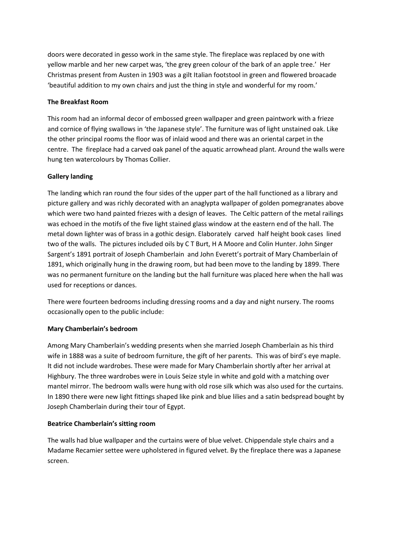doors were decorated in gesso work in the same style. The fireplace was replaced by one with yellow marble and her new carpet was, 'the grey green colour of the bark of an apple tree.' Her Christmas present from Austen in 1903 was a gilt Italian footstool in green and flowered broacade 'beautiful addition to my own chairs and just the thing in style and wonderful for my room.'

#### **The Breakfast Room**

This room had an informal decor of embossed green wallpaper and green paintwork with a frieze and cornice of flying swallows in 'the Japanese style'. The furniture was of light unstained oak. Like the other principal rooms the floor was of inlaid wood and there was an oriental carpet in the centre. The fireplace had a carved oak panel of the aquatic arrowhead plant. Around the walls were hung ten watercolours by Thomas Collier.

#### **Gallery landing**

The landing which ran round the four sides of the upper part of the hall functioned as a library and picture gallery and was richly decorated with an anaglypta wallpaper of golden pomegranates above which were two hand painted friezes with a design of leaves. The Celtic pattern of the metal railings was echoed in the motifs of the five light stained glass window at the eastern end of the hall. The metal down lighter was of brass in a gothic design. Elaborately carved half height book cases lined two of the walls. The pictures included oils by C T Burt, H A Moore and Colin Hunter. John Singer Sargent's 1891 portrait of Joseph Chamberlain and John Everett's portrait of Mary Chamberlain of 1891, which originally hung in the drawing room, but had been move to the landing by 1899. There was no permanent furniture on the landing but the hall furniture was placed here when the hall was used for receptions or dances.

There were fourteen bedrooms including dressing rooms and a day and night nursery. The rooms occasionally open to the public include:

#### **Mary Chamberlain's bedroom**

Among Mary Chamberlain's wedding presents when she married Joseph Chamberlain as his third wife in 1888 was a suite of bedroom furniture, the gift of her parents. This was of bird's eye maple. It did not include wardrobes. These were made for Mary Chamberlain shortly after her arrival at Highbury. The three wardrobes were in Louis Seize style in white and gold with a matching over mantel mirror. The bedroom walls were hung with old rose silk which was also used for the curtains. In 1890 there were new light fittings shaped like pink and blue lilies and a satin bedspread bought by Joseph Chamberlain during their tour of Egypt.

#### **Beatrice Chamberlain's sitting room**

The walls had blue wallpaper and the curtains were of blue velvet. Chippendale style chairs and a Madame Recamier settee were upholstered in figured velvet. By the fireplace there was a Japanese screen.